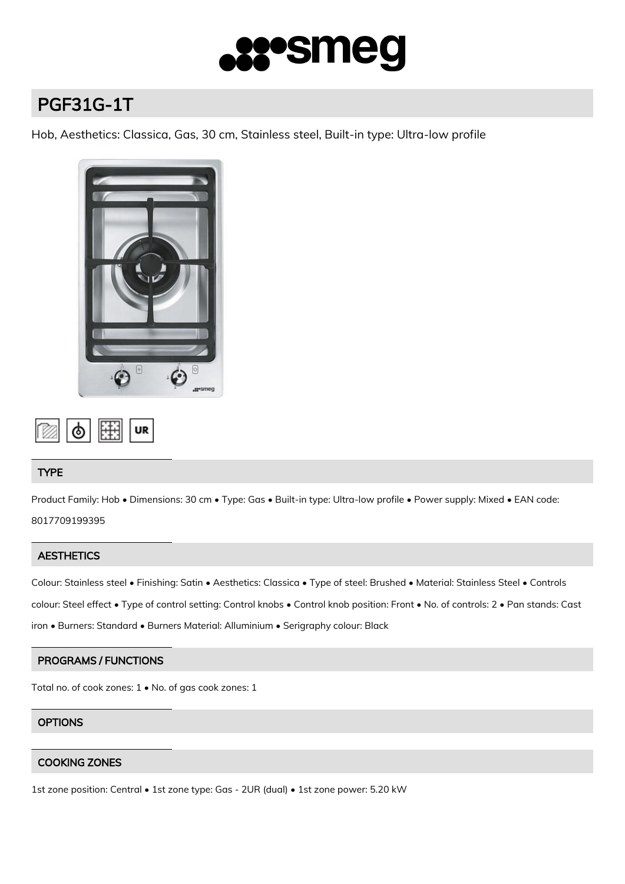

# PGF31G-1T

Hob, Aesthetics: Classica, Gas, 30 cm, Stainless steel, Built-in type: Ultra-low profile



$$
\boxed{\text{on } \phi \text{ [H] [or]}}
$$

## TYPE

Product Family: Hob • Dimensions: 30 cm • Type: Gas • Built-in type: Ultra-low profile • Power supply: Mixed • EAN code: 8017709199395

## **AESTHETICS**

Colour: Stainless steel • Finishing: Satin • Aesthetics: Classica • Type of steel: Brushed • Material: Stainless Steel • Controls colour: Steel effect • Type of control setting: Control knobs • Control knob position: Front • No. of controls: 2 • Pan stands: Cast iron • Burners: Standard • Burners Material: Alluminium • Serigraphy colour: Black

## PROGRAMS / FUNCTIONS

Total no. of cook zones: 1 • No. of gas cook zones: 1

## **OPTIONS**

## COOKING ZONES

1st zone position: Central • 1st zone type: Gas - 2UR (dual) • 1st zone power: 5.20 kW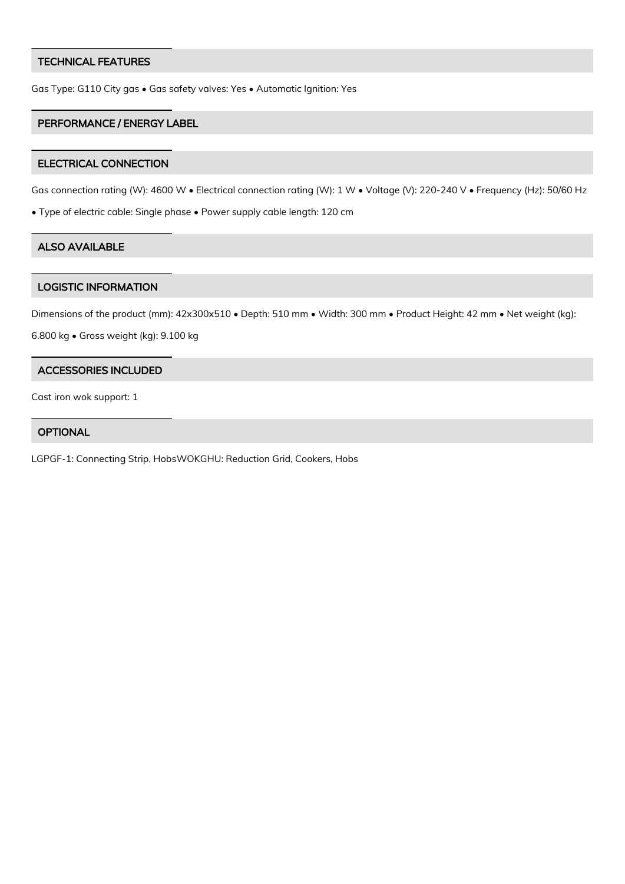#### TECHNICAL FEATURES

Gas Type: G110 City gas • Gas safety valves: Yes • Automatic Ignition: Yes

#### PERFORMANCE / ENERGY LABEL

#### ELECTRICAL CONNECTION

Gas connection rating (W): 4600 W • Electrical connection rating (W): 1 W • Voltage (V): 220-240 V • Frequency (Hz): 50/60 Hz

• Type of electric cable: Single phase • Power supply cable length: 120 cm

## ALSO AVAILABLE

#### LOGISTIC INFORMATION

Dimensions of the product (mm): 42x300x510 • Depth: 510 mm • Width: 300 mm • Product Height: 42 mm • Net weight (kg):

6.800 kg • Gross weight (kg): 9.100 kg

#### ACCESSORIES INCLUDED

Cast iron wok support: 1

# **OPTIONAL**

LGPGF-1: Connecting Strip, HobsWOKGHU: Reduction Grid, Cookers, Hobs